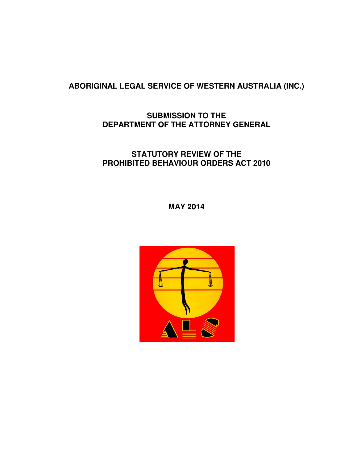# **ABORIGINAL LEGAL SERVICE OF WESTERN AUSTRALIA (INC.)**

# **SUBMISSION TO THE DEPARTMENT OF THE ATTORNEY GENERAL**

# **STATUTORY REVIEW OF THE PROHIBITED BEHAVIOUR ORDERS ACT 2010**

# **MAY 2014**

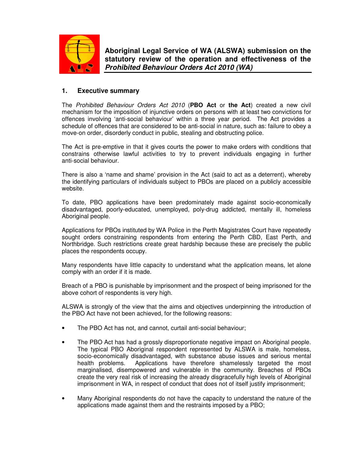

**Aboriginal Legal Service of WA (ALSWA) submission on the statutory review of the operation and effectiveness of the Prohibited Behaviour Orders Act 2010 (WA)**

## **1. Executive summary**

The Prohibited Behaviour Orders Act 2010 (**PBO Act** or **the Act**) created a new civil mechanism for the imposition of injunctive orders on persons with at least two convictions for offences involving 'anti-social behaviour' within a three year period. The Act provides a schedule of offences that are considered to be anti-social in nature, such as: failure to obey a move-on order, disorderly conduct in public, stealing and obstructing police.

The Act is pre-emptive in that it gives courts the power to make orders with conditions that constrains otherwise lawful activities to try to prevent individuals engaging in further anti-social behaviour.

There is also a 'name and shame' provision in the Act (said to act as a deterrent), whereby the identifying particulars of individuals subject to PBOs are placed on a publicly accessible website.

To date, PBO applications have been predominately made against socio-economically disadvantaged, poorly-educated, unemployed, poly-drug addicted, mentally ill, homeless Aboriginal people.

Applications for PBOs instituted by WA Police in the Perth Magistrates Court have repeatedly sought orders constraining respondents from entering the Perth CBD, East Perth, and Northbridge. Such restrictions create great hardship because these are precisely the public places the respondents occupy.

Many respondents have little capacity to understand what the application means, let alone comply with an order if it is made.

Breach of a PBO is punishable by imprisonment and the prospect of being imprisoned for the above cohort of respondents is very high.

ALSWA is strongly of the view that the aims and objectives underpinning the introduction of the PBO Act have not been achieved, for the following reasons:

- The PBO Act has not, and cannot, curtail anti-social behaviour;
- The PBO Act has had a grossly disproportionate negative impact on Aboriginal people. The typical PBO Aboriginal respondent represented by ALSWA is male, homeless, socio-economically disadvantaged, with substance abuse issues and serious mental health problems. Applications have therefore shamelessly targeted the most marginalised, disempowered and vulnerable in the community. Breaches of PBOs create the very real risk of increasing the already disgracefully high levels of Aboriginal imprisonment in WA, in respect of conduct that does not of itself justify imprisonment;
- Many Aboriginal respondents do not have the capacity to understand the nature of the applications made against them and the restraints imposed by a PBO;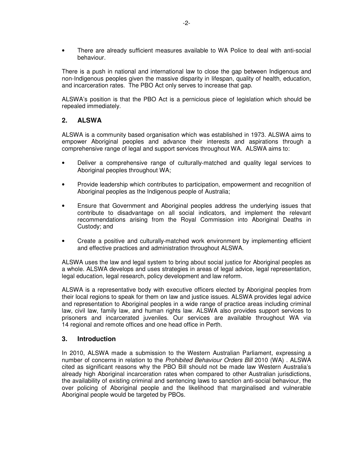• There are already sufficient measures available to WA Police to deal with anti-social behaviour.

There is a push in national and international law to close the gap between Indigenous and non-Indigenous peoples given the massive disparity in lifespan, quality of health, education, and incarceration rates. The PBO Act only serves to increase that gap.

ALSWA's position is that the PBO Act is a pernicious piece of legislation which should be repealed immediately.

## **2. ALSWA**

ALSWA is a community based organisation which was established in 1973. ALSWA aims to empower Aboriginal peoples and advance their interests and aspirations through a comprehensive range of legal and support services throughout WA. ALSWA aims to:

- Deliver a comprehensive range of culturally‐matched and quality legal services to Aboriginal peoples throughout WA;
- Provide leadership which contributes to participation, empowerment and recognition of Aboriginal peoples as the Indigenous people of Australia;
- Ensure that Government and Aboriginal peoples address the underlying issues that contribute to disadvantage on all social indicators, and implement the relevant recommendations arising from the Royal Commission into Aboriginal Deaths in Custody; and
- Create a positive and culturally‐matched work environment by implementing efficient and effective practices and administration throughout ALSWA.

ALSWA uses the law and legal system to bring about social justice for Aboriginal peoples as a whole. ALSWA develops and uses strategies in areas of legal advice, legal representation, legal education, legal research, policy development and law reform.

ALSWA is a representative body with executive officers elected by Aboriginal peoples from their local regions to speak for them on law and justice issues. ALSWA provides legal advice and representation to Aboriginal peoples in a wide range of practice areas including criminal law, civil law, family law, and human rights law. ALSWA also provides support services to prisoners and incarcerated juveniles. Our services are available throughout WA via 14 regional and remote offices and one head office in Perth.

## **3. Introduction**

In 2010, ALSWA made a submission to the Western Australian Parliament, expressing a number of concerns in relation to the Prohibited Behaviour Orders Bill 2010 (WA). ALSWA cited as significant reasons why the PBO Bill should not be made law Western Australia's already high Aboriginal incarceration rates when compared to other Australian jurisdictions, the availability of existing criminal and sentencing laws to sanction anti-social behaviour, the over policing of Aboriginal people and the likelihood that marginalised and vulnerable Aboriginal people would be targeted by PBOs.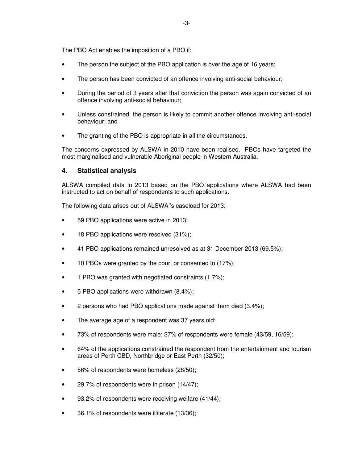The PBO Act enables the imposition of a PBO if:

- The person the subject of the PBO application is over the age of 16 years;
- The person has been convicted of an offence involving anti-social behaviour;
- During the period of 3 years after that conviction the person was again convicted of an offence involving anti-social behaviour;
- Unless constrained, the person is likely to commit another offence involving anti-social behaviour; and
- The granting of the PBO is appropriate in all the circumstances.

The concerns expressed by ALSWA in 2010 have been realised. PBOs have targeted the most marginalised and vulnerable Aboriginal people in Western Australia.

## **4. Statistical analysis**

ALSWA compiled data in 2013 based on the PBO applications where ALSWA had been instructed to act on behalf of respondents to such applications.

The following data arises out of ALSWA''s caseload for 2013:

- 59 PBO applications were active in 2013;
- 18 PBO applications were resolved (31%);
- 41 PBO applications remained unresolved as at 31 December 2013 (69.5%);
- 10 PBOs were granted by the court or consented to (17%);
- 1 PBO was granted with negotiated constraints (1.7%);
- 5 PBO applications were withdrawn (8.4%);
- 2 persons who had PBO applications made against them died (3.4%);
- The average age of a respondent was 37 years old;
- 73% of respondents were male; 27% of respondents were female (43/59, 16/59);
- 64% of the applications constrained the respondent from the entertainment and tourism areas of Perth CBD, Northbridge or East Perth (32/50);
- 56% of respondents were homeless (28/50);
- 29.7% of respondents were in prison (14/47);
- 93.2% of respondents were receiving welfare (41/44);
- 36.1% of respondents were illiterate (13/36);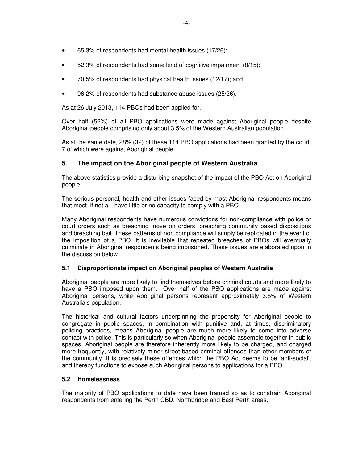- 65.3% of respondents had mental health issues (17/26);
- 52.3% of respondents had some kind of cognitive impairment (8/15);
- 70.5% of respondents had physical health issues (12/17); and
- 96.2% of respondents had substance abuse issues (25/26).

As at 26 July 2013, 114 PBOs had been applied for.

Over half (52%) of all PBO applications were made against Aboriginal people despite Aboriginal people comprising only about 3.5% of the Western Australian population.

As at the same date, 28% (32) of these 114 PBO applications had been granted by the court, 7 of which were against Aboriginal people.

## **5. The impact on the Aboriginal people of Western Australia**

The above statistics provide a disturbing snapshot of the impact of the PBO Act on Aboriginal people.

The serious personal, health and other issues faced by most Aboriginal respondents means that most, if not all, have little or no capacity to comply with a PBO.

Many Aboriginal respondents have numerous convictions for non-compliance with police or court orders such as breaching move on orders, breaching community based dispositions and breaching bail. These patterns of non compliance will simply be replicated in the event of the imposition of a PBO. It is inevitable that repeated breaches of PBOs will eventually culminate in Aboriginal respondents being imprisoned. These issues are elaborated upon in the discussion below.

## **5.1 Disproportionate impact on Aboriginal peoples of Western Australia**

Aboriginal people are more likely to find themselves before criminal courts and more likely to have a PBO imposed upon them. Over half of the PBO applications are made against Aboriginal persons, while Aboriginal persons represent approximately 3.5% of Western Australia's population.

The historical and cultural factors underpinning the propensity for Aboriginal people to congregate in public spaces, in combination with punitive and, at times, discriminatory policing practices, means Aboriginal people are much more likely to come into adverse contact with police. This is particularly so when Aboriginal people assemble together in public spaces. Aboriginal people are therefore inherently more likely to be charged, and charged more frequently, with relatively minor street-based criminal offences than other members of the community. It is precisely these offences which the PBO Act deems to be 'anti-social', and thereby functions to expose such Aboriginal persons to applications for a PBO.

## **5.2 Homelessness**

The majority of PBO applications to date have been framed so as to constrain Aboriginal respondents from entering the Perth CBD, Northbridge and East Perth areas.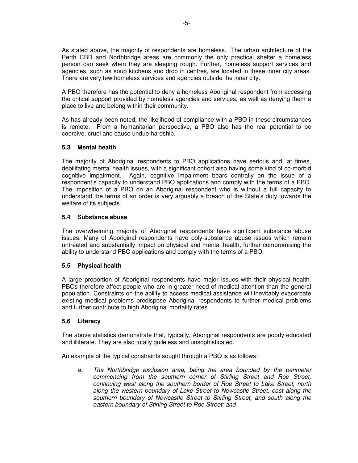As stated above, the majority of respondents are homeless. The urban architecture of the Perth CBD and Northbridge areas are commonly the only practical shelter a homeless person can seek when they are sleeping rough. Further, homeless support services and agencies, such as soup kitchens and drop in centres, are located in these inner city areas. There are very few homeless services and agencies outside the inner city.

A PBO therefore has the potential to deny a homeless Aboriginal respondent from accessing the critical support provided by homeless agencies and services, as well as denying them a place to live and belong within their community.

As has already been noted, the likelihood of compliance with a PBO in these circumstances is remote. From a humanitarian perspective, a PBO also has the real potential to be coercive, cruel and cause undue hardship.

## **5.3 Mental health**

The majority of Aboriginal respondents to PBO applications have serious and, at times, debilitating mental health issues, with a significant cohort also having some kind of co-morbid cognitive impairment. Again, cognitive impairment bears centrally on the issue of a respondent's capacity to understand PBO applications and comply with the terms of a PBO. The imposition of a PBO on an Aboriginal respondent who is without a full capacity to understand the terms of an order is very arguably a breach of the State's duty towards the welfare of its subjects.

### **5.4 Substance abuse**

The overwhelming majority of Aboriginal respondents have significant substance abuse issues. Many of Aboriginal respondents have poly-substance abuse issues which remain untreated and substantially impact on physical and mental health, further compromising the ability to understand PBO applications and comply with the terms of a PBO.

## **5.5 Physical health**

A large proportion of Aboriginal respondents have major issues with their physical health. PBOs therefore affect people who are in greater need of medical attention than the general population. Constraints on the ability to access medical assistance will inevitably exacerbate existing medical problems predispose Aboriginal respondents to further medical problems and further contribute to high Aboriginal mortality rates.

#### **5.6 Literacy**

The above statistics demonstrate that, typically, Aboriginal respondents are poorly educated and illiterate. They are also totally guileless and unsophisticated.

An example of the typical constraints sought through a PBO is as follows:

a. The Northbridge exclusion area, being the area bounded by the perimeter commencing from the southern corner of Stirling Street and Roe Street, continuing west along the southern border of Roe Street to Lake Street, north along the western boundary of Lake Street to Newcastle Street, east along the southern boundary of Newcastle Street to Stirling Street, and south along the eastern boundary of Stirling Street to Roe Street; and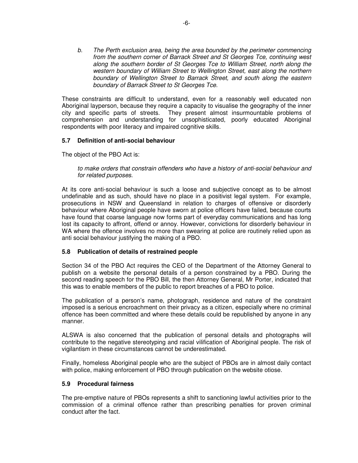b. The Perth exclusion area, being the area bounded by the perimeter commencing from the southern corner of Barrack Street and St Georges Tce, continuing west along the southern border of St Georges Tce to William Street, north along the western boundary of William Street to Wellington Street, east along the northern boundary of Wellington Street to Barrack Street, and south along the eastern boundary of Barrack Street to St Georges Tce.

These constraints are difficult to understand, even for a reasonably well educated non Aboriginal layperson, because they require a capacity to visualise the geography of the inner city and specific parts of streets. They present almost insurmountable problems of comprehension and understanding for unsophisticated, poorly educated Aboriginal respondents with poor literacy and impaired cognitive skills.

## **5.7 Definition of anti-social behaviour**

The object of the PBO Act is:

to make orders that constrain offenders who have a history of anti-social behaviour and for related purposes.

At its core anti-social behaviour is such a loose and subjective concept as to be almost undefinable and as such, should have no place in a positivist legal system. For example, prosecutions in NSW and Queensland in relation to charges of offensive or disorderly behaviour where Aboriginal people have sworn at police officers have failed, because courts have found that coarse language now forms part of everyday communications and has long lost its capacity to affront, offend or annoy. However, convictions for disorderly behaviour in WA where the offence involves no more than swearing at police are routinely relied upon as anti social behaviour justifying the making of a PBO.

#### **5.8 Publication of details of restrained people**

Section 34 of the PBO Act requires the CEO of the Department of the Attorney General to publish on a website the personal details of a person constrained by a PBO. During the second reading speech for the PBO Bill, the then Attorney General, Mr Porter, indicated that this was to enable members of the public to report breaches of a PBO to police.

The publication of a person's name, photograph, residence and nature of the constraint imposed is a serious encroachment on their privacy as a citizen, especially where no criminal offence has been committed and where these details could be republished by anyone in any manner.

ALSWA is also concerned that the publication of personal details and photographs will contribute to the negative stereotyping and racial vilification of Aboriginal people. The risk of vigilantism in these circumstances cannot be underestimated.

Finally, homeless Aboriginal people who are the subject of PBOs are in almost daily contact with police, making enforcement of PBO through publication on the website otiose.

#### **5.9 Procedural fairness**

The pre-emptive nature of PBOs represents a shift to sanctioning lawful activities prior to the commission of a criminal offence rather than prescribing penalties for proven criminal conduct after the fact.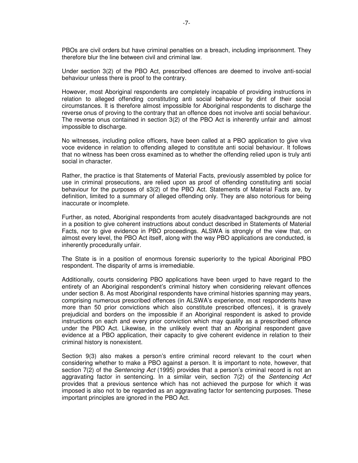PBOs are civil orders but have criminal penalties on a breach, including imprisonment. They therefore blur the line between civil and criminal law.

Under section 3(2) of the PBO Act, prescribed offences are deemed to involve anti-social behaviour unless there is proof to the contrary.

However, most Aboriginal respondents are completely incapable of providing instructions in relation to alleged offending constituting anti social behaviour by dint of their social circumstances. It is therefore almost impossible for Aboriginal respondents to discharge the reverse onus of proving to the contrary that an offence does not involve anti social behaviour. The reverse onus contained in section 3(2) of the PBO Act is inherently unfair and almost impossible to discharge.

No witnesses, including police officers, have been called at a PBO application to give viva voce evidence in relation to offending alleged to constitute anti social behaviour. It follows that no witness has been cross examined as to whether the offending relied upon is truly anti social in character.

Rather, the practice is that Statements of Material Facts, previously assembled by police for use in criminal prosecutions, are relied upon as proof of offending constituting anti social behaviour for the purposes of s3(2) of the PBO Act. Statements of Material Facts are, by definition, limited to a summary of alleged offending only. They are also notorious for being inaccurate or incomplete.

Further, as noted, Aboriginal respondents from acutely disadvantaged backgrounds are not in a position to give coherent instructions about conduct described in Statements of Material Facts, nor to give evidence in PBO proceedings. ALSWA is strongly of the view that, on almost every level, the PBO Act itself, along with the way PBO applications are conducted, is inherently procedurally unfair.

The State is in a position of enormous forensic superiority to the typical Aboriginal PBO respondent. The disparity of arms is irremediable.

Additionally, courts considering PBO applications have been urged to have regard to the entirety of an Aboriginal respondent's criminal history when considering relevant offences under section 8. As most Aboriginal respondents have criminal histories spanning may years, comprising numerous prescribed offences (in ALSWA's experience, most respondents have more than 50 prior convictions which also constitute prescribed offences), it is gravely prejudicial and borders on the impossible if an Aboriginal respondent is asked to provide instructions on each and every prior conviction which may qualify as a prescribed offence under the PBO Act. Likewise, in the unlikely event that an Aboriginal respondent gave evidence at a PBO application, their capacity to give coherent evidence in relation to their criminal history is nonexistent.

Section 9(3) also makes a person's entire criminal record relevant to the court when considering whether to make a PBO against a person. It is important to note, however, that section 7(2) of the Sentencing Act (1995) provides that a person's criminal record is not an aggravating factor in sentencing. In a similar vein, section  $7(2)$  of the Sentencing Act provides that a previous sentence which has not achieved the purpose for which it was imposed is also not to be regarded as an aggravating factor for sentencing purposes. These important principles are ignored in the PBO Act.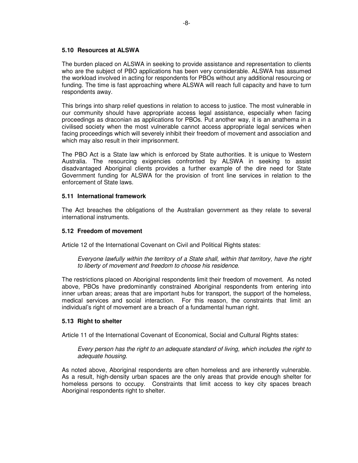### **5.10 Resources at ALSWA**

The burden placed on ALSWA in seeking to provide assistance and representation to clients who are the subject of PBO applications has been very considerable. ALSWA has assumed the workload involved in acting for respondents for PBOs without any additional resourcing or funding. The time is fast approaching where ALSWA will reach full capacity and have to turn respondents away.

This brings into sharp relief questions in relation to access to justice. The most vulnerable in our community should have appropriate access legal assistance, especially when facing proceedings as draconian as applications for PBOs. Put another way, it is an anathema in a civilised society when the most vulnerable cannot access appropriate legal services when facing proceedings which will severely inhibit their freedom of movement and association and which may also result in their imprisonment.

The PBO Act is a State law which is enforced by State authorities. It is unique to Western Australia. The resourcing exigencies confronted by ALSWA in seeking to assist disadvantaged Aboriginal clients provides a further example of the dire need for State Government funding for ALSWA for the provision of front line services in relation to the enforcement of State laws.

### **5.11 International framework**

The Act breaches the obligations of the Australian government as they relate to several international instruments.

#### **5.12 Freedom of movement**

Article 12 of the International Covenant on Civil and Political Rights states:

Everyone lawfully within the territory of a State shall, within that territory, have the right to liberty of movement and freedom to choose his residence.

The restrictions placed on Aboriginal respondents limit their freedom of movement. As noted above, PBOs have predominantly constrained Aboriginal respondents from entering into inner urban areas; areas that are important hubs for transport, the support of the homeless, medical services and social interaction. For this reason, the constraints that limit an individual's right of movement are a breach of a fundamental human right.

## **5.13 Right to shelter**

Article 11 of the International Covenant of Economical, Social and Cultural Rights states:

Every person has the right to an adequate standard of living, which includes the right to adequate housing.

As noted above, Aboriginal respondents are often homeless and are inherently vulnerable. As a result, high-density urban spaces are the only areas that provide enough shelter for homeless persons to occupy. Constraints that limit access to key city spaces breach Aboriginal respondents right to shelter.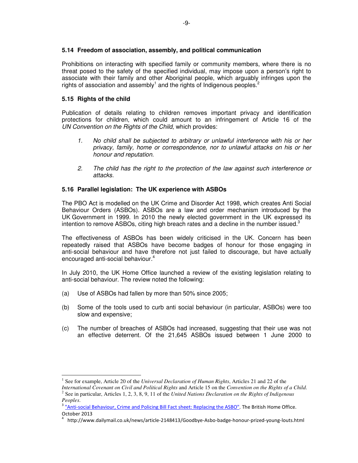Prohibitions on interacting with specified family or community members, where there is no threat posed to the safety of the specified individual, may impose upon a person's right to associate with their family and other Aboriginal people, which arguably infringes upon the rights of association and assembly<sup>1</sup> and the rights of Indigenous peoples.<sup>2</sup>

## **5.15 Rights of the child**

l

Publication of details relating to children removes important privacy and identification protections for children, which could amount to an infringement of Article 16 of the UN Convention on the Rights of the Child, which provides:

- 1. No child shall be subjected to arbitrary or unlawful interference with his or her privacy, family, home or correspondence, nor to unlawful attacks on his or her honour and reputation.
- 2. The child has the right to the protection of the law against such interference or attacks.

## **5.16 Parallel legislation: The UK experience with ASBOs**

The PBO Act is modelled on the UK Crime and Disorder Act 1998, which creates Anti Social Behaviour Orders (ASBOs). ASBOs are a law and order mechanism introduced by the UK Government in 1999. In 2010 the newly elected government in the UK expressed its intention to remove ASBOs, citing high breach rates and a decline in the number issued. $3$ 

The effectiveness of ASBOs has been widely criticised in the UK. Concern has been repeatedly raised that ASBOs have become badges of honour for those engaging in anti-social behaviour and have therefore not just failed to discourage, but have actually encouraged anti-social behaviour.<sup>4</sup>

In July 2010, the UK Home Office launched a review of the existing legislation relating to anti-social behaviour. The review noted the following:

- (a) Use of ASBOs had fallen by more than 50% since 2005;
- (b) Some of the tools used to curb anti social behaviour (in particular, ASBOs) were too slow and expensive;
- (c) The number of breaches of ASBOs had increased, suggesting that their use was not an effective deterrent. Of the 21,645 ASBOs issued between 1 June 2000 to

<sup>1</sup> See for example, Article 20 of the *Universal Declaration of Human Rights*, Articles 21 and 22 of the

*International Covenant on Civil and Political Rights* and Article 15 on the *Convention on the Rights of a Child*. 2 See in particular, Articles 1, 2, 3, 8, 9, 11 of the *United Nations Declaration on the Rights of Indigenous Peoples*.

<sup>&</sup>lt;sup>3</sup> "Anti-social Behaviour, Crime and Policing Bill Fact sheet: Replacing the ASBO". The British Home Office. October 2013

<sup>4</sup> http://www.dailymail.co.uk/news/article‐2148413/Goodbye‐Asbo‐badge‐honour‐prized‐young‐louts.html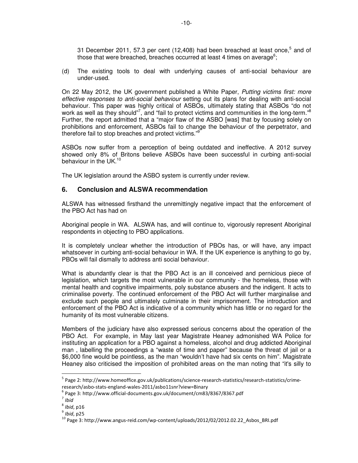31 December 2011, 57.3 per cent (12,408) had been breached at least once,<sup>5</sup> and of those that were breached, breaches occurred at least 4 times on average<sup>6</sup>;

(d) The existing tools to deal with underlying causes of anti-social behaviour are under-used.

On 22 May 2012, the UK government published a White Paper, Putting victims first: more effective responses to anti-social behaviour setting out its plans for dealing with anti-social behaviour. This paper was highly critical of ASBOs, ultimately stating that ASBOs "do not work as well as they should"<sup>7</sup>, and "fail to protect victims and communities in the long-term."<sup>8</sup> Further, the report admitted that a "major flaw of the ASBO [was] that by focusing solely on prohibitions and enforcement, ASBOs fail to change the behaviour of the perpetrator, and therefore fail to stop breaches and protect victims."

ASBOs now suffer from a perception of being outdated and ineffective. A 2012 survey showed only 8% of Britons believe ASBOs have been successful in curbing anti-social behaviour in the UK.<sup>10</sup>

The UK legislation around the ASBO system is currently under review.

## **6. Conclusion and ALSWA recommendation**

ALSWA has witnessed firsthand the unremittingly negative impact that the enforcement of the PBO Act has had on

Aboriginal people in WA. ALSWA has, and will continue to, vigorously represent Aboriginal respondents in objecting to PBO applications.

It is completely unclear whether the introduction of PBOs has, or will have, any impact whatsoever in curbing anti-social behaviour in WA. If the UK experience is anything to go by, PBOs will fail dismally to address anti social behaviour.

What is abundantly clear is that the PBO Act is an ill conceived and pernicious piece of legislation, which targets the most vulnerable in our community - the homeless, those with mental health and cognitive impairments, poly substance abusers and the indigent. It acts to criminalise poverty. The continued enforcement of the PBO Act will further marginalise and exclude such people and ultimately culminate in their imprisonment. The introduction and enforcement of the PBO Act is indicative of a community which has little or no regard for the humanity of its most vulnerable citizens.

Members of the judiciary have also expressed serious concerns about the operation of the PBO Act. For example, in May last year Magistrate Heaney admonished WA Police for instituting an application for a PBO against a homeless, alcohol and drug addicted Aboriginal man , labelling the proceedings a "waste of time and paper" because the threat of jail or a \$6,000 fine would be pointless, as the man "wouldn't have had six cents on him". Magistrate Heaney also criticised the imposition of prohibited areas on the man noting that "it's silly to

l

<sup>&</sup>lt;sup>5</sup> Page 2: http://www.homeoffice.gov.uk/publications/science-research-statistics/research-statistics/crimeresearch/asbo‐stats‐england‐wales‐2011/asbo11snr?view=Binary

<sup>6</sup> Page 3: http://www.official‐documents.gov.uk/document/cm83/8367/8367.pdf

<sup>&</sup>lt;sup>7</sup> Ibid

 $^8$  Ibid, p16

 $<sup>9</sup>$  Ibid, p25</sup>

<sup>10</sup> Page 3: http://www.angus‐reid.com/wp‐content/uploads/2012/02/2012.02.22\_Asbos\_BRI.pdf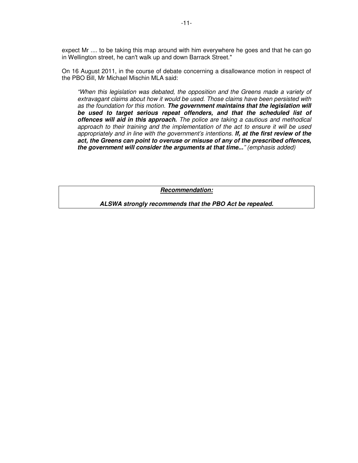expect Mr .... to be taking this map around with him everywhere he goes and that he can go in Wellington street, he can't walk up and down Barrack Street."

On 16 August 2011, in the course of debate concerning a disallowance motion in respect of the PBO Bill, Mr Michael Mischin MLA said:

"When this legislation was debated, the opposition and the Greens made a variety of extravagant claims about how it would be used. Those claims have been persisted with as the foundation for this motion. **The government maintains that the legislation will be used to target serious repeat offenders, and that the scheduled list of offences will aid in this approach.** The police are taking a cautious and methodical approach to their training and the implementation of the act to ensure it will be used appropriately and in line with the government's intentions. **If, at the first review of the act, the Greens can point to overuse or misuse of any of the prescribed offences, the government will consider the arguments at that time...**" (emphasis added)

**Recommendation:**

**ALSWA strongly recommends that the PBO Act be repealed.**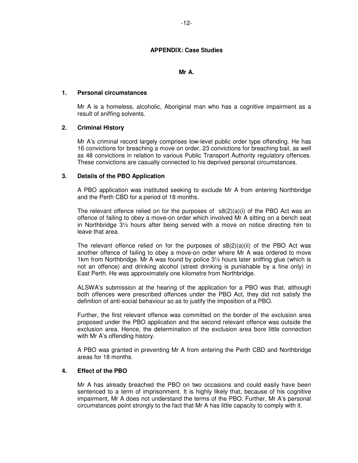### **APPENDIX: Case Studies**

#### **Mr A.**

#### **1. Personal circumstances**

Mr A is a homeless, alcoholic, Aboriginal man who has a cognitive impairment as a result of sniffing solvents.

#### **2. Criminal History**

Mr A's criminal record largely comprises low-level public order type offending. He has 16 convictions for breaching a move on order, 23 convictions for breaching bail, as well as 48 convictions in relation to various Public Transport Authority regulatory offences. These convictions are casually connected to his deprived personal circumstances.

#### **3. Details of the PBO Application**

A PBO application was instituted seeking to exclude Mr A from entering Northbridge and the Perth CBD for a period of 18 months.

The relevant offence relied on for the purposes of  $s8(2)(a)(i)$  of the PBO Act was an offence of failing to obey a move-on order which involved Mr A sitting on a bench seat in Northbridge 3½ hours after being served with a move on notice directing him to leave that area.

The relevant offence relied on for the purposes of  $s8(2)(a)(ii)$  of the PBO Act was another offence of failing to obey a move-on order where Mr A was ordered to move 1km from Northbridge. Mr A was found by police 3½ hours later sniffing glue (which is not an offence) and drinking alcohol (street drinking is punishable by a fine only) in East Perth. He was approximately one kilometre from Northbridge.

ALSWA's submission at the hearing of the application for a PBO was that, although both offences were prescribed offences under the PBO Act, they did not satisfy the definition of anti-social behaviour so as to justify the imposition of a PBO.

Further, the first relevant offence was committed on the border of the exclusion area proposed under the PBO application and the second relevant offence was outside the exclusion area. Hence, the determination of the exclusion area bore little connection with Mr A's offending history.

A PBO was granted in preventing Mr A from entering the Perth CBD and Northbridge areas for 18 months.

#### **4. Effect of the PBO**

Mr A has already breached the PBO on two occasions and could easily have been sentenced to a term of imprisonment. It is highly likely that, because of his cognitive impairment, Mr A does not understand the terms of the PBO. Further, Mr A's personal circumstances point strongly to the fact that Mr A has little capacity to comply with it.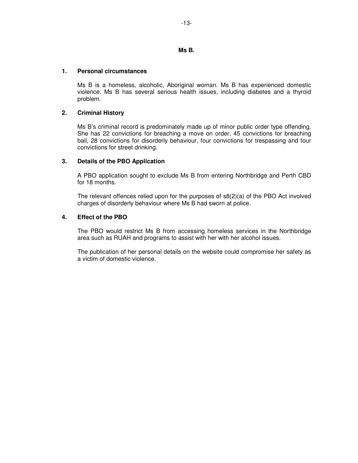#### **Ms B.**

#### **1. Personal circumstances**

Ms B is a homeless, alcoholic, Aboriginal woman. Ms B has experienced domestic violence. Ms B has several serious health issues, including diabetes and a thyroid problem.

### **2. Criminal History**

Ms B's criminal record is predominately made up of minor public order type offending. She has 22 convictions for breaching a move on order, 45 convictions for breaching bail, 28 convictions for disorderly behaviour, four convictions for trespassing and four convictions for street drinking.

### **3. Details of the PBO Application**

A PBO application sought to exclude Ms B from entering Northbridge and Perth CBD for 18 months.

The relevant offences relied upon for the purposes of  $s(2)(a)$  of the PBO Act involved charges of disorderly behaviour where Ms B had sworn at police.

### **4. Effect of the PBO**

The PBO would restrict Ms B from accessing homeless services in the Northbridge area such as RUAH and programs to assist with her with her alcohol issues.

The publication of her personal details on the website could compromise her safety as a victim of domestic violence.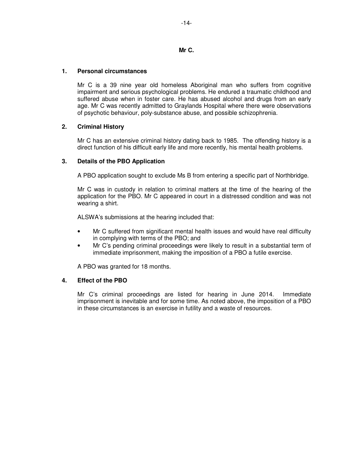### **Mr C.**

## **1. Personal circumstances**

Mr C is a 39 nine year old homeless Aboriginal man who suffers from cognitive impairment and serious psychological problems. He endured a traumatic childhood and suffered abuse when in foster care. He has abused alcohol and drugs from an early age. Mr C was recently admitted to Graylands Hospital where there were observations of psychotic behaviour, poly-substance abuse, and possible schizophrenia.

## **2. Criminal History**

Mr C has an extensive criminal history dating back to 1985. The offending history is a direct function of his difficult early life and more recently, his mental health problems.

## **3. Details of the PBO Application**

A PBO application sought to exclude Ms B from entering a specific part of Northbridge.

Mr C was in custody in relation to criminal matters at the time of the hearing of the application for the PBO. Mr C appeared in court in a distressed condition and was not wearing a shirt.

ALSWA's submissions at the hearing included that:

- Mr C suffered from significant mental health issues and would have real difficulty in complying with terms of the PBO; and
- Mr C's pending criminal proceedings were likely to result in a substantial term of immediate imprisonment, making the imposition of a PBO a futile exercise.

A PBO was granted for 18 months.

## **4. Effect of the PBO**

Mr C's criminal proceedings are listed for hearing in June 2014. Immediate imprisonment is inevitable and for some time. As noted above, the imposition of a PBO in these circumstances is an exercise in futility and a waste of resources.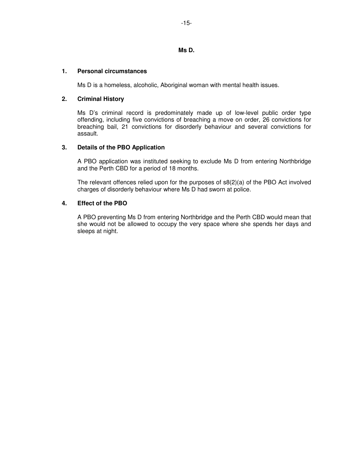## **Ms D.**

## **1. Personal circumstances**

Ms D is a homeless, alcoholic, Aboriginal woman with mental health issues.

### **2. Criminal History**

Ms D's criminal record is predominately made up of low-level public order type offending, including five convictions of breaching a move on order, 26 convictions for breaching bail, 21 convictions for disorderly behaviour and several convictions for assault.

### **3. Details of the PBO Application**

A PBO application was instituted seeking to exclude Ms D from entering Northbridge and the Perth CBD for a period of 18 months.

The relevant offences relied upon for the purposes of  $s(2)(a)$  of the PBO Act involved charges of disorderly behaviour where Ms D had sworn at police.

## **4. Effect of the PBO**

A PBO preventing Ms D from entering Northbridge and the Perth CBD would mean that she would not be allowed to occupy the very space where she spends her days and sleeps at night.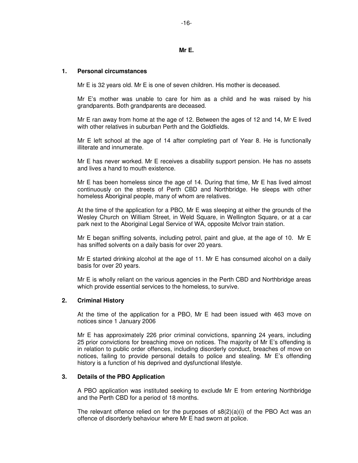#### **Mr E.**

#### **1. Personal circumstances**

Mr E is 32 years old. Mr E is one of seven children. His mother is deceased.

Mr E's mother was unable to care for him as a child and he was raised by his grandparents. Both grandparents are deceased.

Mr E ran away from home at the age of 12. Between the ages of 12 and 14, Mr E lived with other relatives in suburban Perth and the Goldfields.

Mr E left school at the age of 14 after completing part of Year 8. He is functionally illiterate and innumerate.

Mr E has never worked. Mr E receives a disability support pension. He has no assets and lives a hand to mouth existence.

Mr E has been homeless since the age of 14. During that time, Mr E has lived almost continuously on the streets of Perth CBD and Northbridge. He sleeps with other homeless Aboriginal people, many of whom are relatives.

At the time of the application for a PBO, Mr E was sleeping at either the grounds of the Wesley Church on William Street, in Weld Square, in Wellington Square, or at a car park next to the Aboriginal Legal Service of WA, opposite McIvor train station.

Mr E began sniffing solvents, including petrol, paint and glue, at the age of 10. Mr E has sniffed solvents on a daily basis for over 20 years.

Mr E started drinking alcohol at the age of 11. Mr E has consumed alcohol on a daily basis for over 20 years.

Mr E is wholly reliant on the various agencies in the Perth CBD and Northbridge areas which provide essential services to the homeless, to survive.

#### **2. Criminal History**

At the time of the application for a PBO, Mr E had been issued with 463 move on notices since 1 January 2006

Mr E has approximately 226 prior criminal convictions, spanning 24 years, including 25 prior convictions for breaching move on notices. The majority of Mr E's offending is in relation to public order offences, including disorderly conduct, breaches of move on notices, failing to provide personal details to police and stealing. Mr E's offending history is a function of his deprived and dysfunctional lifestyle.

#### **3. Details of the PBO Application**

A PBO application was instituted seeking to exclude Mr E from entering Northbridge and the Perth CBD for a period of 18 months.

The relevant offence relied on for the purposes of  $s(2)(a)(i)$  of the PBO Act was an offence of disorderly behaviour where Mr E had sworn at police.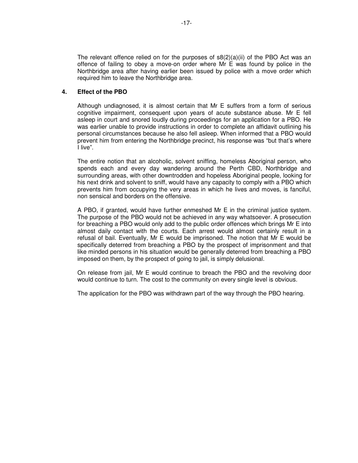The relevant offence relied on for the purposes of  $s8(2)(a)(ii)$  of the PBO Act was an offence of failing to obey a move-on order where Mr E was found by police in the Northbridge area after having earlier been issued by police with a move order which required him to leave the Northbridge area.

## **4. Effect of the PBO**

Although undiagnosed, it is almost certain that Mr E suffers from a form of serious cognitive impairment, consequent upon years of acute substance abuse. Mr E fell asleep in court and snored loudly during proceedings for an application for a PBO. He was earlier unable to provide instructions in order to complete an affidavit outlining his personal circumstances because he also fell asleep. When informed that a PBO would prevent him from entering the Northbridge precinct, his response was "but that's where I live".

The entire notion that an alcoholic, solvent sniffing, homeless Aboriginal person, who spends each and every day wandering around the Perth CBD, Northbridge and surrounding areas, with other downtrodden and hopeless Aboriginal people, looking for his next drink and solvent to sniff, would have any capacity to comply with a PBO which prevents him from occupying the very areas in which he lives and moves, is fanciful, non sensical and borders on the offensive.

A PBO, if granted, would have further enmeshed Mr E in the criminal justice system. The purpose of the PBO would not be achieved in any way whatsoever. A prosecution for breaching a PBO would only add to the public order offences which brings Mr E into almost daily contact with the courts. Each arrest would almost certainly result in a refusal of bail. Eventually, Mr E would be imprisoned. The notion that Mr E would be specifically deterred from breaching a PBO by the prospect of imprisonment and that like minded persons in his situation would be generally deterred from breaching a PBO imposed on them, by the prospect of going to jail, is simply delusional.

On release from jail, Mr E would continue to breach the PBO and the revolving door would continue to turn. The cost to the community on every single level is obvious.

The application for the PBO was withdrawn part of the way through the PBO hearing.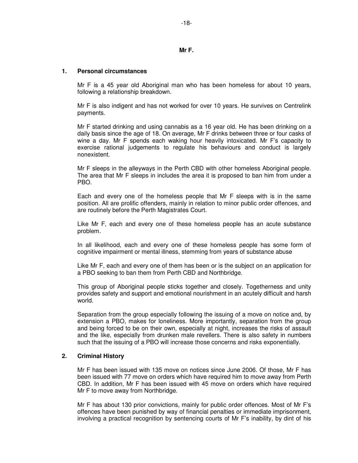**Mr F.** 

#### **1. Personal circumstances**

Mr F is a 45 year old Aboriginal man who has been homeless for about 10 years, following a relationship breakdown.

Mr F is also indigent and has not worked for over 10 years. He survives on Centrelink payments.

Mr F started drinking and using cannabis as a 16 year old. He has been drinking on a daily basis since the age of 18. On average, Mr F drinks between three or four casks of wine a day. Mr F spends each waking hour heavily intoxicated. Mr F's capacity to exercise rational judgements to regulate his behaviours and conduct is largely nonexistent.

Mr F sleeps in the alleyways in the Perth CBD with other homeless Aboriginal people. The area that Mr F sleeps in includes the area it is proposed to ban him from under a PBO.

Each and every one of the homeless people that Mr F sleeps with is in the same position. All are prolific offenders, mainly in relation to minor public order offences, and are routinely before the Perth Magistrates Court.

Like Mr F, each and every one of these homeless people has an acute substance problem.

In all likelihood, each and every one of these homeless people has some form of cognitive impairment or mental illness, stemming from years of substance abuse

Like Mr F, each and every one of them has been or is the subject on an application for a PBO seeking to ban them from Perth CBD and Northbridge.

This group of Aboriginal people sticks together and closely. Togetherness and unity provides safety and support and emotional nourishment in an acutely difficult and harsh world.

Separation from the group especially following the issuing of a move on notice and, by extension a PBO, makes for loneliness. More importantly, separation from the group and being forced to be on their own, especially at night, increases the risks of assault and the like, especially from drunken male revellers. There is also safety in numbers such that the issuing of a PBO will increase those concerns and risks exponentially.

#### **2. Criminal History**

Mr F has been issued with 135 move on notices since June 2006. Of those, Mr F has been issued with 77 move on orders which have required him to move away from Perth CBD. In addition, Mr F has been issued with 45 move on orders which have required Mr F to move away from Northbridge.

Mr F has about 130 prior convictions, mainly for public order offences. Most of Mr F's offences have been punished by way of financial penalties or immediate imprisonment, involving a practical recognition by sentencing courts of Mr F's inability, by dint of his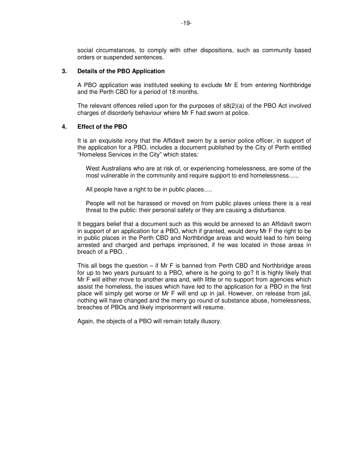social circumstances, to comply with other dispositions, such as community based orders or suspended sentences.

#### **3. Details of the PBO Application**

A PBO application was instituted seeking to exclude Mr E from entering Northbridge and the Perth CBD for a period of 18 months.

The relevant offences relied upon for the purposes of  $s(2)(a)$  of the PBO Act involved charges of disorderly behaviour where Mr F had sworn at police.

#### **4. Effect of the PBO**

It is an exquisite irony that the Affidavit sworn by a senior police officer, in support of the application for a PBO, includes a document published by the City of Perth entitled "Homeless Services in the City" which states:

West Australians who are at risk of, or experiencing homelessness, are some of the most vulnerable in the community and require support to end homelessness......

All people have a right to be in public places.....

People will not be harassed or moved on from public plaves unless there is a real threat to the public: their personal safety or they are causing a disturbance.

It beggars belief that a document such as this would be annexed to an Affidavit sworn in support of an application for a PBO, which if granted, would deny Mr F the right to be in public places in the Perth CBD and Northbridge areas and would lead to him being arrested and charged and perhaps imprisoned, if he was located in those areas in breach of a PBO. .

This all begs the question – if Mr F is banned from Perth CBD and Northbridge areas for up to two years pursuant to a PBO, where is he going to go? It is highly likely that Mr F will either move to another area and, with little or no support from agencies which assist the homeless, the issues which have led to the application for a PBO in the first place will simply get worse or Mr F will end up in jail. However, on release from jail, nothing will have changed and the merry go round of substance abuse, homelessness, breaches of PBOs and likely imprisonment will resume.

Again, the objects of a PBO will remain totally illusory.